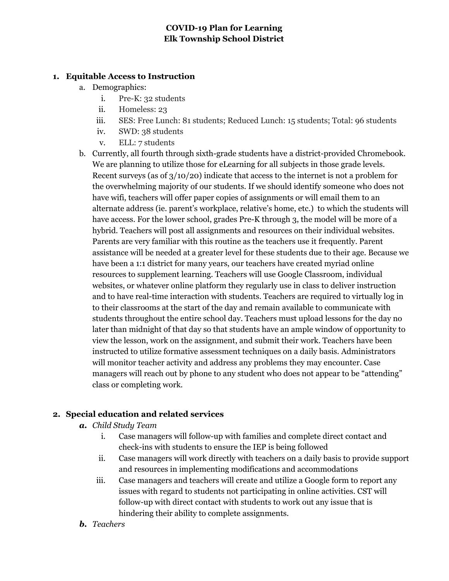## **COVID-19 Plan for Learning Elk Township School District**

## **1. Equitable Access to Instruction**

- a. Demographics:
	- i. Pre-K: 32 students
	- ii. Homeless: 23
	- iii. SES: Free Lunch: 81 students; Reduced Lunch: 15 students; Total: 96 students
	- iv. SWD: 38 students
	- v. ELL: 7 students
- b. Currently, all fourth through sixth-grade students have a district-provided Chromebook. We are planning to utilize those for eLearning for all subjects in those grade levels. Recent surveys (as of 3/10/20) indicate that access to the internet is not a problem for the overwhelming majority of our students. If we should identify someone who does not have wifi, teachers will offer paper copies of assignments or will email them to an alternate address (ie. parent's workplace, relative's home, etc.) to which the students will have access. For the lower school, grades Pre-K through 3, the model will be more of a hybrid. Teachers will post all assignments and resources on their individual websites. Parents are very familiar with this routine as the teachers use it frequently. Parent assistance will be needed at a greater level for these students due to their age. Because we have been a 1:1 district for many years, our teachers have created myriad online resources to supplement learning. Teachers will use Google Classroom, individual websites, or whatever online platform they regularly use in class to deliver instruction and to have real-time interaction with students. Teachers are required to virtually log in to their classrooms at the start of the day and remain available to communicate with students throughout the entire school day. Teachers must upload lessons for the day no later than midnight of that day so that students have an ample window of opportunity to view the lesson, work on the assignment, and submit their work. Teachers have been instructed to utilize formative assessment techniques on a daily basis. Administrators will monitor teacher activity and address any problems they may encounter. Case managers will reach out by phone to any student who does not appear to be "attending" class or completing work.

## **2. Special education and related services**

- *a. Child Study Team*
	- i. Case managers will follow-up with families and complete direct contact and check-ins with students to ensure the IEP is being followed
	- ii. Case managers will work directly with teachers on a daily basis to provide support and resources in implementing modifications and accommodations
	- iii. Case managers and teachers will create and utilize a Google form to report any issues with regard to students not participating in online activities. CST will follow-up with direct contact with students to work out any issue that is hindering their ability to complete assignments.
- *b. Teachers*